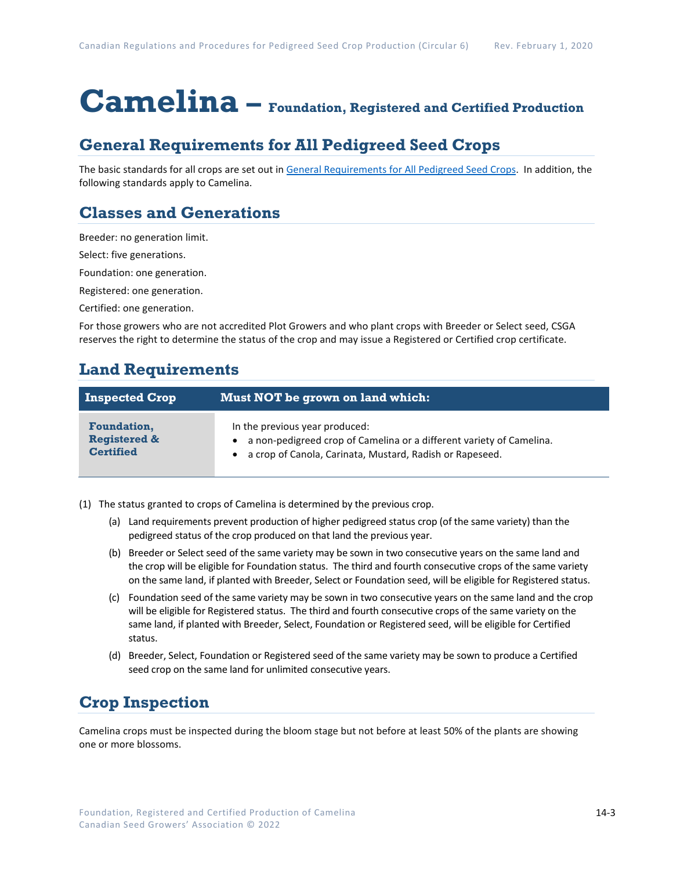# **Camelina – Foundation, Registered and Certified Production**

## **General Requirements for All Pedigreed Seed Crops**

The basic standards for all crops are set out i[n General Requirements for All Pedigreed Seed](https://seedgrowers.ca/wp-content/uploads/2020/01/GENERAL-REQUIREMENTS-ALL-CROPS_EN.pdf) Crops. In addition, the following standards apply to Camelina.

## **Classes and Generations**

Breeder: no generation limit.

Select: five generations.

Foundation: one generation.

Registered: one generation.

Certified: one generation.

For those growers who are not accredited Plot Growers and who plant crops with Breeder or Select seed, CSGA reserves the right to determine the status of the crop and may issue a Registered or Certified crop certificate.

#### **Land Requirements**

| <b>Inspected Crop</b>   | Must NOT be grown on land which:                                       |
|-------------------------|------------------------------------------------------------------------|
| <b>Foundation,</b>      | In the previous year produced:                                         |
| <b>Registered &amp;</b> | • a non-pedigreed crop of Camelina or a different variety of Camelina. |
| <b>Certified</b>        | • a crop of Canola, Carinata, Mustard, Radish or Rapeseed.             |

- (1) The status granted to crops of Camelina is determined by the previous crop.
	- (a) Land requirements prevent production of higher pedigreed status crop (of the same variety) than the pedigreed status of the crop produced on that land the previous year.
	- (b) Breeder or Select seed of the same variety may be sown in two consecutive years on the same land and the crop will be eligible for Foundation status. The third and fourth consecutive crops of the same variety on the same land, if planted with Breeder, Select or Foundation seed, will be eligible for Registered status.
	- (c) Foundation seed of the same variety may be sown in two consecutive years on the same land and the crop will be eligible for Registered status. The third and fourth consecutive crops of the same variety on the same land, if planted with Breeder, Select, Foundation or Registered seed, will be eligible for Certified status.
	- (d) Breeder, Select, Foundation or Registered seed of the same variety may be sown to produce a Certified seed crop on the same land for unlimited consecutive years.

### **Crop Inspection**

Camelina crops must be inspected during the bloom stage but not before at least 50% of the plants are showing one or more blossoms.